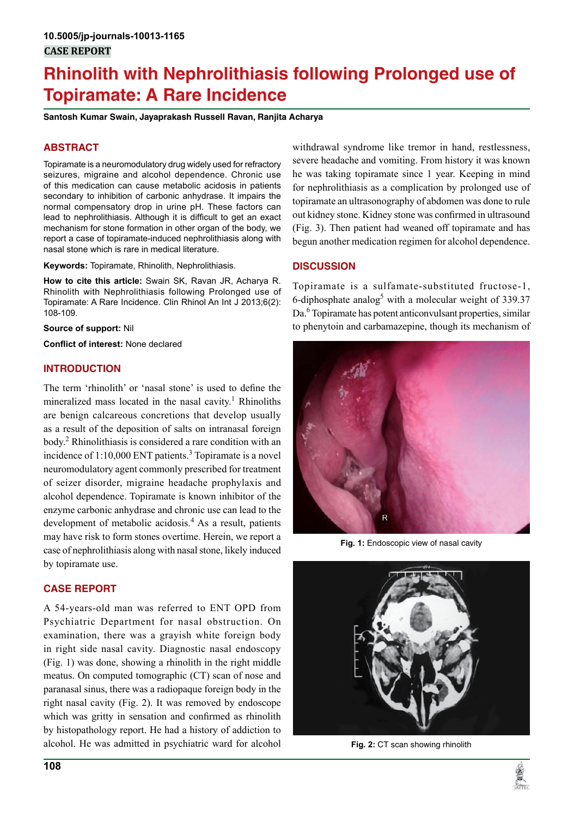# **Rhinolith with Nephrolithiasis following Prolonged use of Topiramate: A Rare Incidence**

**Santosh Kumar Swain, Jayaprakash Russell Ravan, Ranjita Acharya**

# **ABSTRACT**

Topiramate is a neuromodulatory drug widely used for refractory seizures, migraine and alcohol dependence. Chronic use of this medication can cause metabolic acidosis in patients secondary to inhibition of carbonic anhydrase. It impairs the normal compensatory drop in urine pH. These factors can lead to nephrolithiasis. Although it is difficult to get an exact mechanism for stone formation in other organ of the body, we report a case of topiramate-induced nephrolithiasis along with nasal stone which is rare in medical literature.

**Keywords:** Topiramate, Rhinolith, Nephrolithiasis.

**How to cite this article:** Swain SK, Ravan JR, Acharya R. Rhinolith with Nephrolithiasis following Prolonged use of Topiramate: A Rare Incidence. Clin Rhinol An Int J 2013;6(2): 108-109.

**Source of support:** Nil

**Conflict of interest:** None declared

## **INTRODUCTION**

The term 'rhinolith' or 'nasal stone' is used to define the mineralized mass located in the nasal cavity.<sup>1</sup> Rhinoliths are benign calcareous concretions that develop usually as a result of the deposition of salts on intranasal foreign body.<sup>2</sup> Rhinolithiasis is considered a rare condition with an incidence of  $1:10,000$  ENT patients.<sup>3</sup> Topiramate is a novel neuromodulatory agent commonly prescribed for treatment of seizer disorder, migraine headache prophylaxis and alcohol dependence. Topiramate is known inhibitor of the enzyme carbonic anhydrase and chronic use can lead to the development of metabolic acidosis.<sup>4</sup> As a result, patients may have risk to form stones overtime. Herein, we report a case of nephrolithiasis along with nasal stone, likely induced by topiramate use.

## **CASE REPORT**

A 54-years-old man was referred to ENT OPD from Psychiatric Department for nasal obstruction. On examination, there was a grayish white foreign body in right side nasal cavity. Diagnostic nasal endoscopy (Fig. 1) was done, showing a rhinolith in the right middle meatus. On computed tomographic (CT) scan of nose and paranasal sinus, there was a radiopaque foreign body in the right nasal cavity (Fig. 2). It was removed by endoscope which was gritty in sensation and confirmed as rhinolith by histopathology report. He had a history of addiction to alcohol. He was admitted in psychiatric ward for alcohol

withdrawal syndrome like tremor in hand, restlessness, severe headache and vomiting. From history it was known he was taking topiramate since 1 year. Keeping in mind for nephrolithiasis as a complication by prolonged use of topiramate an ultrasonography of abdomen was done to rule out kidney stone. Kidney stone was confirmed in ultrasound (Fig. 3). Then patient had weaned off topiramate and has begun another medication regimen for alcohol dependence.

# **DISCUSSION**

Topiramate is a sulfamate-substituted fructose-1, 6-diphosphate analog<sup>5</sup> with a molecular weight of 339.37 Da.<sup>6</sup> Topiramate has potent anticonvulsant properties, similar to phenytoin and carbamazepine, though its mechanism of



**Fig. 1:** Endoscopic view of nasal cavity



**Fig. 2:** CT scan showing rhinolith